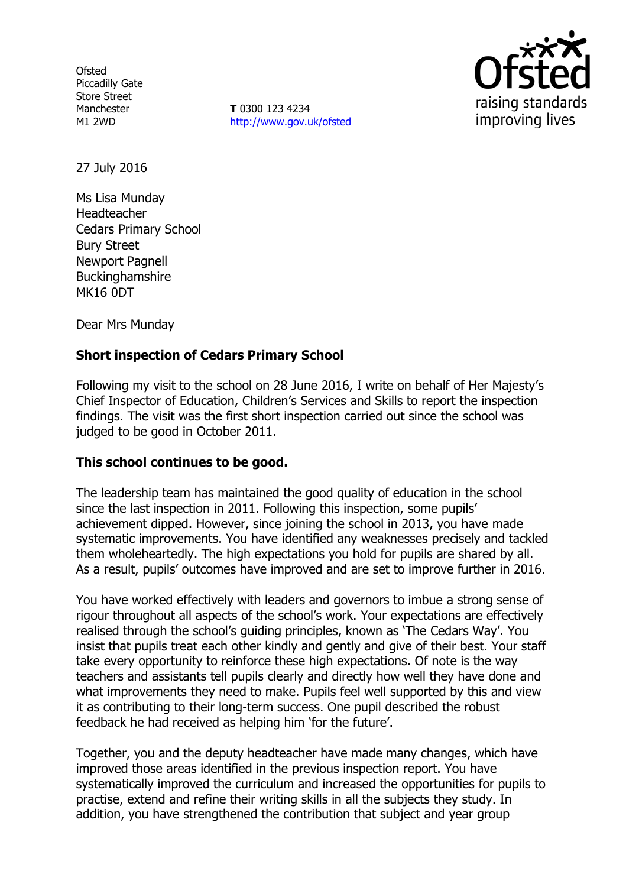**Ofsted** Piccadilly Gate Store Street Manchester M1 2WD

**T** 0300 123 4234 http://www.gov.uk/ofsted



27 July 2016

Ms Lisa Munday Headteacher Cedars Primary School Bury Street Newport Pagnell Buckinghamshire MK16 0DT

Dear Mrs Munday

## **Short inspection of Cedars Primary School**

Following my visit to the school on 28 June 2016, I write on behalf of Her Majesty's Chief Inspector of Education, Children's Services and Skills to report the inspection findings. The visit was the first short inspection carried out since the school was judged to be good in October 2011.

## **This school continues to be good.**

The leadership team has maintained the good quality of education in the school since the last inspection in 2011. Following this inspection, some pupils' achievement dipped. However, since joining the school in 2013, you have made systematic improvements. You have identified any weaknesses precisely and tackled them wholeheartedly. The high expectations you hold for pupils are shared by all. As a result, pupils' outcomes have improved and are set to improve further in 2016.

You have worked effectively with leaders and governors to imbue a strong sense of rigour throughout all aspects of the school's work. Your expectations are effectively realised through the school's guiding principles, known as 'The Cedars Way'. You insist that pupils treat each other kindly and gently and give of their best. Your staff take every opportunity to reinforce these high expectations. Of note is the way teachers and assistants tell pupils clearly and directly how well they have done and what improvements they need to make. Pupils feel well supported by this and view it as contributing to their long-term success. One pupil described the robust feedback he had received as helping him 'for the future'.

Together, you and the deputy headteacher have made many changes, which have improved those areas identified in the previous inspection report. You have systematically improved the curriculum and increased the opportunities for pupils to practise, extend and refine their writing skills in all the subjects they study. In addition, you have strengthened the contribution that subject and year group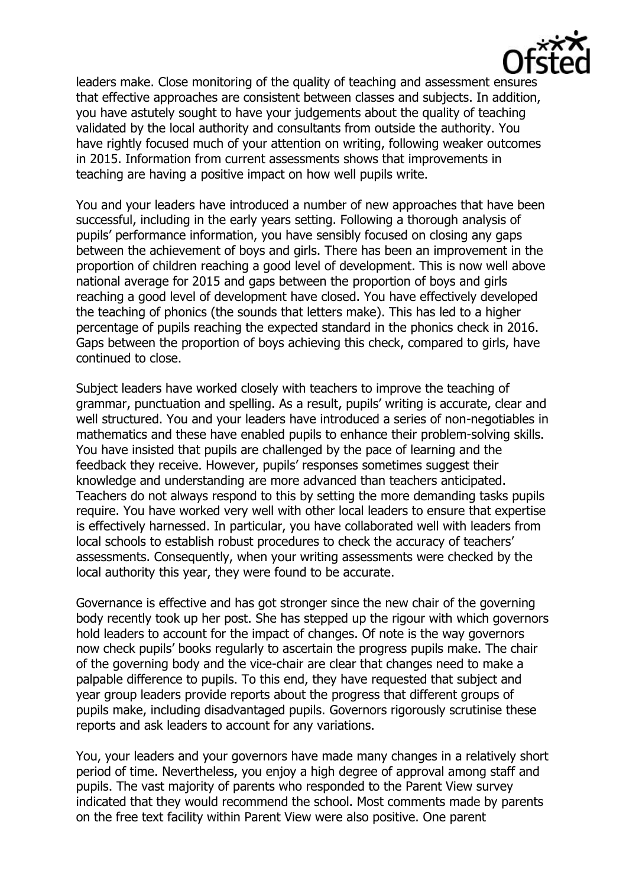

leaders make. Close monitoring of the quality of teaching and assessment ensures that effective approaches are consistent between classes and subjects. In addition, you have astutely sought to have your judgements about the quality of teaching validated by the local authority and consultants from outside the authority. You have rightly focused much of your attention on writing, following weaker outcomes in 2015. Information from current assessments shows that improvements in teaching are having a positive impact on how well pupils write.

You and your leaders have introduced a number of new approaches that have been successful, including in the early years setting. Following a thorough analysis of pupils' performance information, you have sensibly focused on closing any gaps between the achievement of boys and girls. There has been an improvement in the proportion of children reaching a good level of development. This is now well above national average for 2015 and gaps between the proportion of boys and girls reaching a good level of development have closed. You have effectively developed the teaching of phonics (the sounds that letters make). This has led to a higher percentage of pupils reaching the expected standard in the phonics check in 2016. Gaps between the proportion of boys achieving this check, compared to girls, have continued to close.

Subject leaders have worked closely with teachers to improve the teaching of grammar, punctuation and spelling. As a result, pupils' writing is accurate, clear and well structured. You and your leaders have introduced a series of non-negotiables in mathematics and these have enabled pupils to enhance their problem-solving skills. You have insisted that pupils are challenged by the pace of learning and the feedback they receive. However, pupils' responses sometimes suggest their knowledge and understanding are more advanced than teachers anticipated. Teachers do not always respond to this by setting the more demanding tasks pupils require. You have worked very well with other local leaders to ensure that expertise is effectively harnessed. In particular, you have collaborated well with leaders from local schools to establish robust procedures to check the accuracy of teachers' assessments. Consequently, when your writing assessments were checked by the local authority this year, they were found to be accurate.

Governance is effective and has got stronger since the new chair of the governing body recently took up her post. She has stepped up the rigour with which governors hold leaders to account for the impact of changes. Of note is the way governors now check pupils' books regularly to ascertain the progress pupils make. The chair of the governing body and the vice-chair are clear that changes need to make a palpable difference to pupils. To this end, they have requested that subject and year group leaders provide reports about the progress that different groups of pupils make, including disadvantaged pupils. Governors rigorously scrutinise these reports and ask leaders to account for any variations.

You, your leaders and your governors have made many changes in a relatively short period of time. Nevertheless, you enjoy a high degree of approval among staff and pupils. The vast majority of parents who responded to the Parent View survey indicated that they would recommend the school. Most comments made by parents on the free text facility within Parent View were also positive. One parent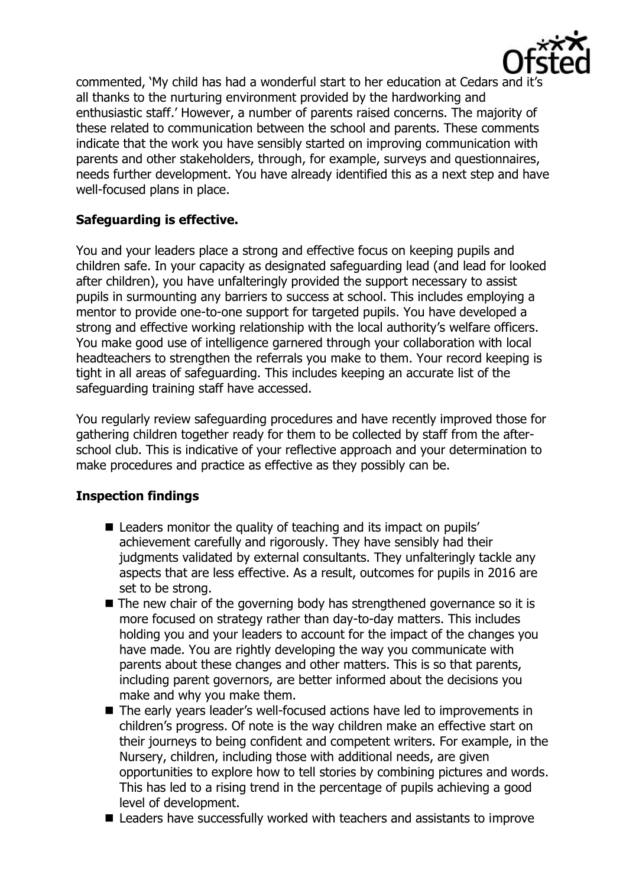

commented, 'My child has had a wonderful start to her education at Cedars and it's all thanks to the nurturing environment provided by the hardworking and enthusiastic staff.' However, a number of parents raised concerns. The majority of these related to communication between the school and parents. These comments indicate that the work you have sensibly started on improving communication with parents and other stakeholders, through, for example, surveys and questionnaires, needs further development. You have already identified this as a next step and have well-focused plans in place.

# **Safeguarding is effective.**

You and your leaders place a strong and effective focus on keeping pupils and children safe. In your capacity as designated safeguarding lead (and lead for looked after children), you have unfalteringly provided the support necessary to assist pupils in surmounting any barriers to success at school. This includes employing a mentor to provide one-to-one support for targeted pupils. You have developed a strong and effective working relationship with the local authority's welfare officers. You make good use of intelligence garnered through your collaboration with local headteachers to strengthen the referrals you make to them. Your record keeping is tight in all areas of safeguarding. This includes keeping an accurate list of the safeguarding training staff have accessed.

You regularly review safeguarding procedures and have recently improved those for gathering children together ready for them to be collected by staff from the afterschool club. This is indicative of your reflective approach and your determination to make procedures and practice as effective as they possibly can be.

## **Inspection findings**

- $\blacksquare$  Leaders monitor the quality of teaching and its impact on pupils' achievement carefully and rigorously. They have sensibly had their judgments validated by external consultants. They unfalteringly tackle any aspects that are less effective. As a result, outcomes for pupils in 2016 are set to be strong.
- The new chair of the governing body has strengthened governance so it is more focused on strategy rather than day-to-day matters. This includes holding you and your leaders to account for the impact of the changes you have made. You are rightly developing the way you communicate with parents about these changes and other matters. This is so that parents, including parent governors, are better informed about the decisions you make and why you make them.
- The early years leader's well-focused actions have led to improvements in children's progress. Of note is the way children make an effective start on their journeys to being confident and competent writers. For example, in the Nursery, children, including those with additional needs, are given opportunities to explore how to tell stories by combining pictures and words. This has led to a rising trend in the percentage of pupils achieving a good level of development.
- Leaders have successfully worked with teachers and assistants to improve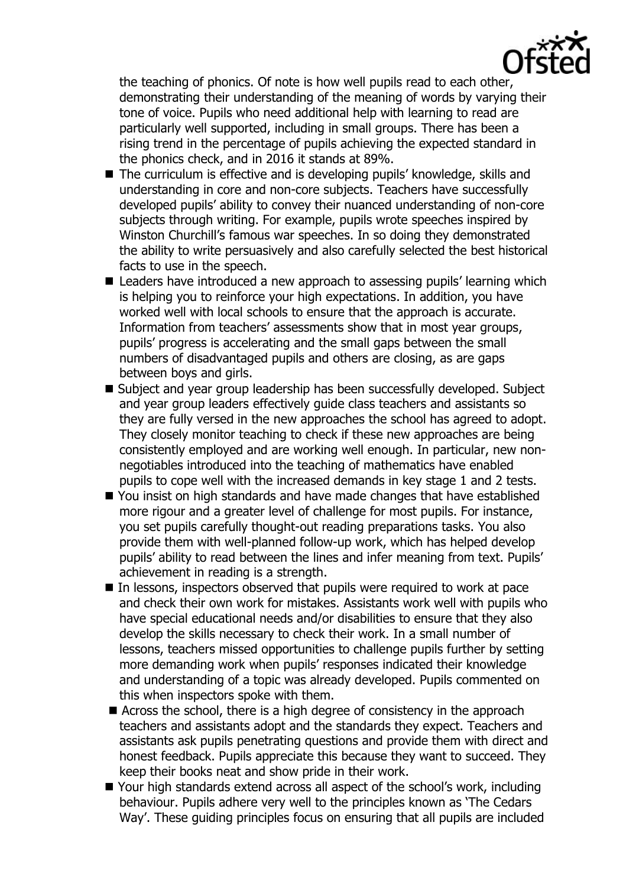

the teaching of phonics. Of note is how well pupils read to each other, demonstrating their understanding of the meaning of words by varying their tone of voice. Pupils who need additional help with learning to read are particularly well supported, including in small groups. There has been a rising trend in the percentage of pupils achieving the expected standard in the phonics check, and in 2016 it stands at 89%.

- The curriculum is effective and is developing pupils' knowledge, skills and understanding in core and non-core subjects. Teachers have successfully developed pupils' ability to convey their nuanced understanding of non-core subjects through writing. For example, pupils wrote speeches inspired by Winston Churchill's famous war speeches. In so doing they demonstrated the ability to write persuasively and also carefully selected the best historical facts to use in the speech.
- Leaders have introduced a new approach to assessing pupils' learning which is helping you to reinforce your high expectations. In addition, you have worked well with local schools to ensure that the approach is accurate. Information from teachers' assessments show that in most year groups, pupils' progress is accelerating and the small gaps between the small numbers of disadvantaged pupils and others are closing, as are gaps between boys and girls.
- Subject and year group leadership has been successfully developed. Subject and year group leaders effectively guide class teachers and assistants so they are fully versed in the new approaches the school has agreed to adopt. They closely monitor teaching to check if these new approaches are being consistently employed and are working well enough. In particular, new nonnegotiables introduced into the teaching of mathematics have enabled pupils to cope well with the increased demands in key stage 1 and 2 tests.
- You insist on high standards and have made changes that have established more rigour and a greater level of challenge for most pupils. For instance, you set pupils carefully thought-out reading preparations tasks. You also provide them with well-planned follow-up work, which has helped develop pupils' ability to read between the lines and infer meaning from text. Pupils' achievement in reading is a strength.
- $\blacksquare$  In lessons, inspectors observed that pupils were required to work at pace and check their own work for mistakes. Assistants work well with pupils who have special educational needs and/or disabilities to ensure that they also develop the skills necessary to check their work. In a small number of lessons, teachers missed opportunities to challenge pupils further by setting more demanding work when pupils' responses indicated their knowledge and understanding of a topic was already developed. Pupils commented on this when inspectors spoke with them.
- Across the school, there is a high degree of consistency in the approach teachers and assistants adopt and the standards they expect. Teachers and assistants ask pupils penetrating questions and provide them with direct and honest feedback. Pupils appreciate this because they want to succeed. They keep their books neat and show pride in their work.
- Your high standards extend across all aspect of the school's work, including behaviour. Pupils adhere very well to the principles known as 'The Cedars Way'. These guiding principles focus on ensuring that all pupils are included